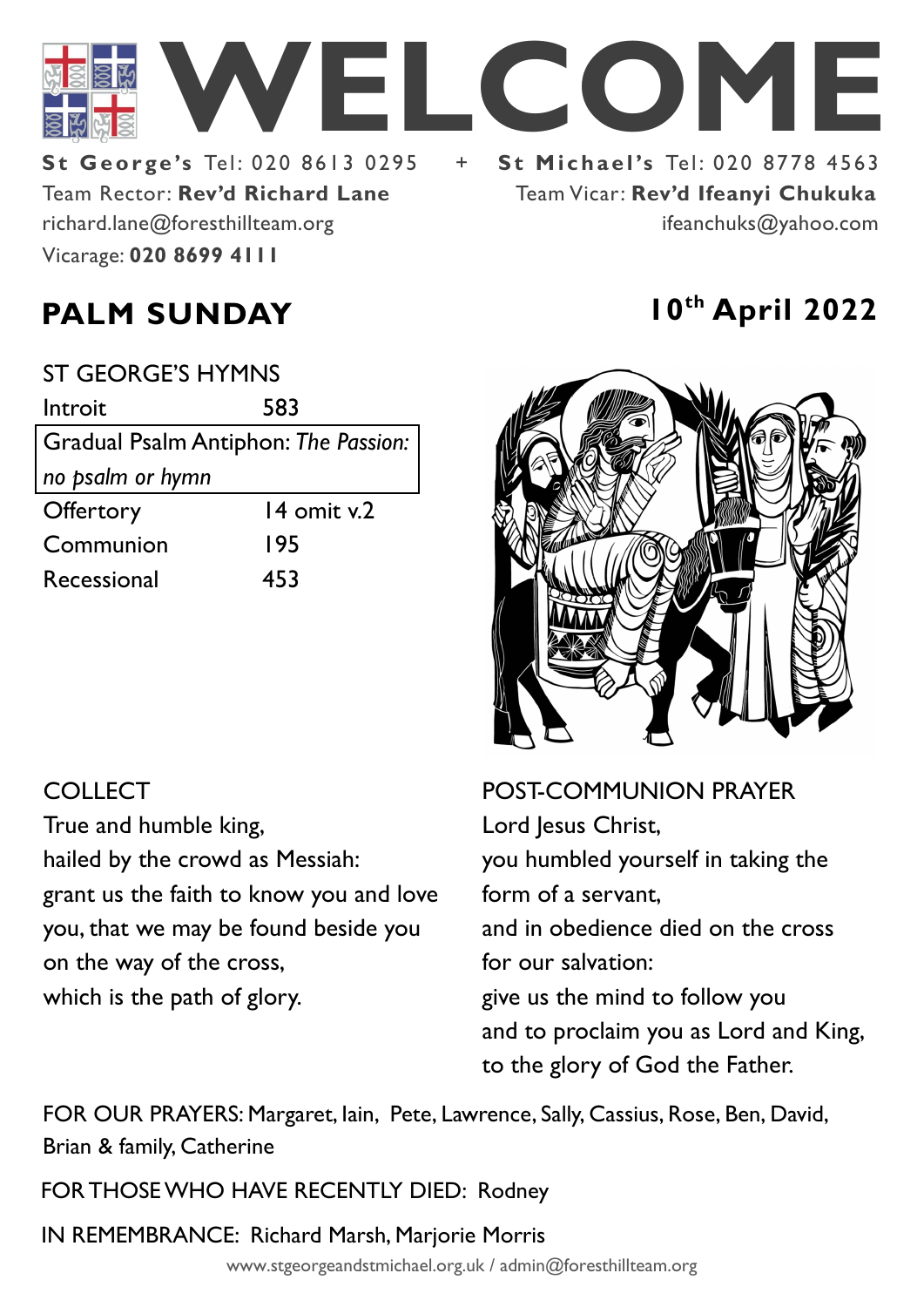

Team Rector: **Rev'd Richard Lane St George's Tel: 020 8613 0295** Vicarage: **020 8699 4111**  richard.lane@foresthillteam.org

Team Vicar: **Rev'd Ifeanyi Chukuka** ifeanchuks@yahoo.com



| <b>POST-COMMUNION PRAYER</b>          |
|---------------------------------------|
| Lord Jesus Christ,                    |
| you humbled yourself in taking the    |
| form of a servant,                    |
| and in obedience died on the cross    |
| for our salvation:                    |
| give us the mind to follow you        |
| and to proclaim you as Lord and King, |
| to the glory of God the Father.       |
|                                       |

FOR OUR PRAYERS: Margaret, Iain, Pete, Lawrence, Sally, Cassius, Rose, Ben, David, Brian & family, Catherine

FOR THOSE WHO HAVE RECENTLY DIED: Rodney

IN REMEMBRANCE: Richard Marsh, Marjorie Morris

www.stgeorgeandstmichael.org.uk / admin@foresthillteam.org

# **PALM SUNDAY 10th April 2022**

| <b>ST GEORGE'S HYMNS</b>             |             |  |
|--------------------------------------|-------------|--|
| Introit                              | 583         |  |
| Gradual Psalm Antiphon: The Passion: |             |  |
| no psalm or hymn                     |             |  |
| Offertory                            | 14 omit v.2 |  |
| Communion                            | 195         |  |
| Recessional                          | 453         |  |

## **COLLECT**

True and humble king, hailed by the crowd as Messiah: grant us the faith to know you and love you, that we may be found beside you on the way of the cross, which is the path of glory.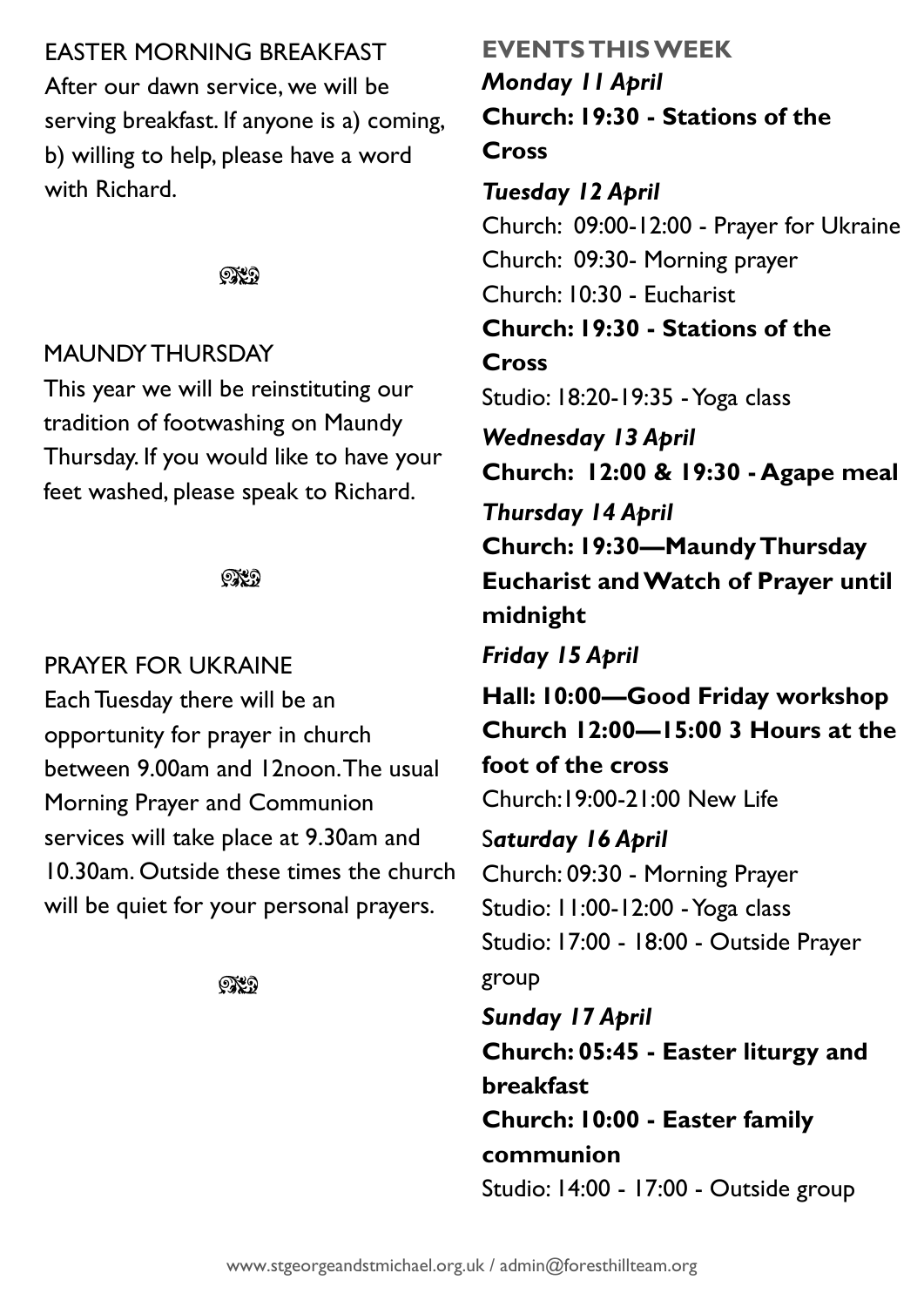## EASTER MORNING BREAKFAST

After our dawn service, we will be serving breakfast. If anyone is a) coming, b) willing to help, please have a word with Richard.

### **OXD**

## MAUNDY THURSDAY

This year we will be reinstituting our tradition of footwashing on Maundy Thursday. If you would like to have your feet washed, please speak to Richard.

## ೧೪೧

## PRAYER FOR UKRAINE

Each Tuesday there will be an opportunity for prayer in church between 9.00am and 12noon. The usual Morning Prayer and Communion services will take place at 9.30am and 10.30am. Outside these times the church will be quiet for your personal prayers.

**OXO** 

## **EVENTS THIS WEEK** *Monday 11 April* **Church: 19:30 - Stations of the Cross**

## *Tuesday 12 April*

Church: 09:00-12:00 - Prayer for Ukraine Church: 09:30- Morning prayer Church: 10:30 - Eucharist **Church: 19:30 - Stations of the Cross** Studio: 18:20-19:35 -Yoga class *Wednesday 13 April* **Church: 12:00 & 19:30 - Agape meal** *Thursday 14 April* **Church: 19:30—Maundy Thursday Eucharist and Watch of Prayer until midnight**  *Friday 15 April* **Hall: 10:00—Good Friday workshop Church 12:00—15:00 3 Hours at the** 

**foot of the cross**

Church:19:00-21:00 New Life

S*aturday 16 April* Church: 09:30 - Morning Prayer Studio: 11:00-12:00 -Yoga class Studio: 17:00 - 18:00 - Outside Prayer group

*Sunday 17 April* **Church: 05:45 - Easter liturgy and breakfast Church: 10:00 - Easter family communion** Studio: 14:00 - 17:00 - Outside group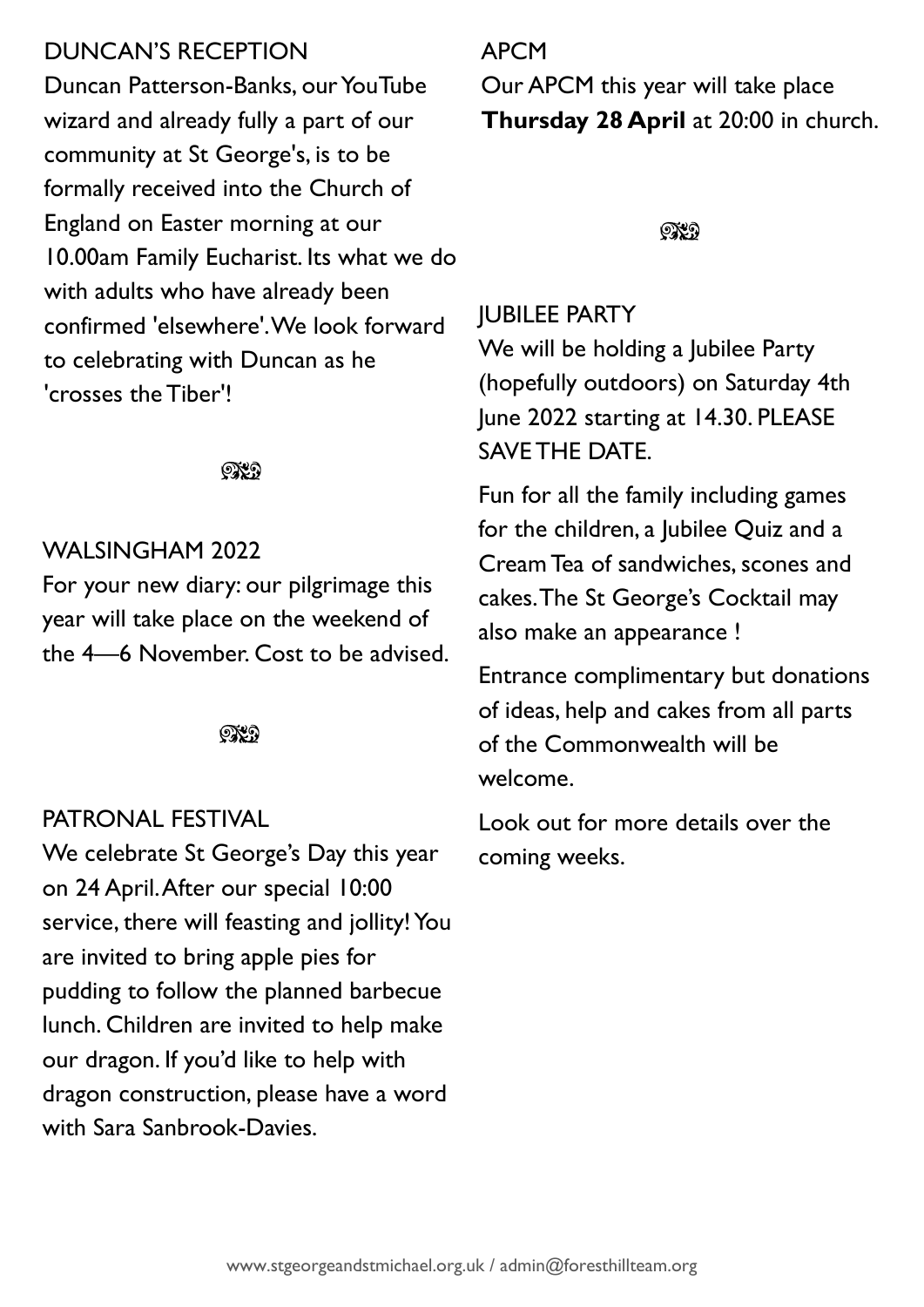## DUNCAN'S RECEPTION

Duncan Patterson-Banks, our YouTube wizard and already fully a part of our community at St George's, is to be formally received into the Church of England on Easter morning at our 10.00am Family Eucharist. Its what we do with adults who have already been confirmed 'elsewhere'. We look forward to celebrating with Duncan as he 'crosses the Tiber'!

ිය

## WALSINGHAM 2022

For your new diary: our pilgrimage this year will take place on the weekend of the 4—6 November. Cost to be advised.

೧೪೧

#### PATRONAL FESTIVAL

We celebrate St George's Day this year on 24 April. After our special 10:00 service, there will feasting and jollity! You are invited to bring apple pies for pudding to follow the planned barbecue lunch. Children are invited to help make our dragon. If you'd like to help with dragon construction, please have a word with Sara Sanbrook-Davies.

## APCM

Our APCM this year will take place **Thursday 28 April** at 20:00 in church.

೧೪೧

## JUBILEE PARTY

We will be holding a Jubilee Party (hopefully outdoors) on Saturday 4th June 2022 starting at 14.30. PLEASE SAVE THE DATE.

Fun for all the family including games for the children, a Jubilee Quiz and a Cream Tea of sandwiches, scones and cakes. The St George's Cocktail may also make an appearance !

Entrance complimentary but donations of ideas, help and cakes from all parts of the Commonwealth will be welcome.

Look out for more details over the coming weeks.